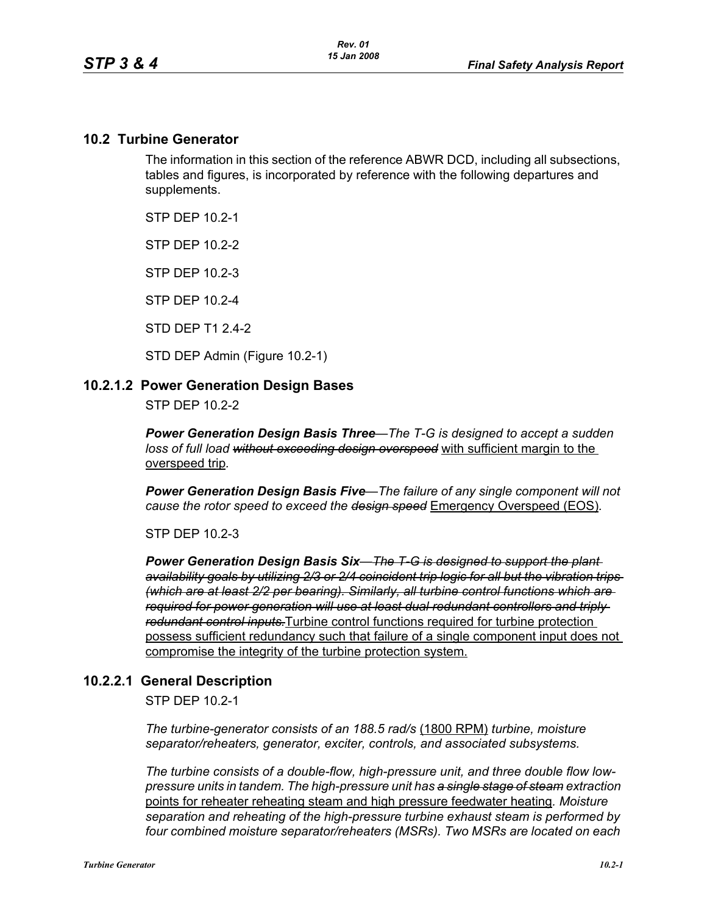## **10.2 Turbine Generator**

The information in this section of the reference ABWR DCD, including all subsections, tables and figures, is incorporated by reference with the following departures and supplements.

STP DEP 10.2-1

STP DEP 10.2-2

STP DEP 10.2-3

STP DEP 10.2-4

STD DEP T1 2.4-2

STD DEP Admin (Figure 10.2-1)

## **10.2.1.2 Power Generation Design Bases**

STP DEP 10.2-2

*Power Generation Design Basis Three—The T-G is designed to accept a sudden loss of full load without exceeding design overspeed* with sufficient margin to the overspeed trip*.* 

*Power Generation Design Basis Five—The failure of any single component will not cause the rotor speed to exceed the design speed* Emergency Overspeed (EOS)*.* 

STP DEP 10.2-3

*Power Generation Design Basis Six—The T-G is designed to support the plant availability goals by utilizing 2/3 or 2/4 coincident trip logic for all but the vibration trips (which are at least 2/2 per bearing). Similarly, all turbine control functions which are required for power generation will use at least dual redundant controllers and triply redundant control inputs.*Turbine control functions required for turbine protection possess sufficient redundancy such that failure of a single component input does not compromise the integrity of the turbine protection system.

## **10.2.2.1 General Description**

STP DEP 10.2-1

*The turbine-generator consists of an 188.5 rad/s* (1800 RPM) *turbine, moisture separator/reheaters, generator, exciter, controls, and associated subsystems.*

*The turbine consists of a double-flow, high-pressure unit, and three double flow lowpressure units in tandem. The high-pressure unit has a single stage of steam extraction*  points for reheater reheating steam and high pressure feedwater heating*. Moisture separation and reheating of the high-pressure turbine exhaust steam is performed by four combined moisture separator/reheaters (MSRs). Two MSRs are located on each*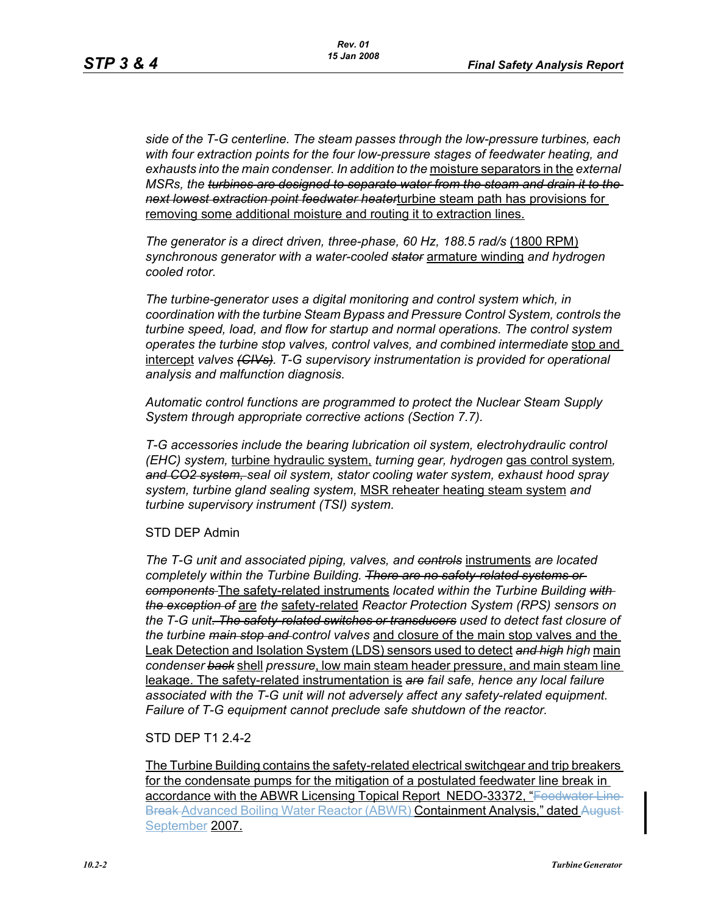*side of the T-G centerline. The steam passes through the low-pressure turbines, each with four extraction points for the four low-pressure stages of feedwater heating, and exhausts into the main condenser. In addition to the* moisture separators in the *external MSRs, the turbines are designed to separate water from the steam and drain it to the next lowest extraction point feedwater heater*turbine steam path has provisions for removing some additional moisture and routing it to extraction lines.

*The generator is a direct driven, three-phase, 60 Hz, 188.5 rad/s* (1800 RPM) *synchronous generator with a water-cooled stator* armature winding *and hydrogen cooled rotor.*

*The turbine-generator uses a digital monitoring and control system which, in coordination with the turbine Steam Bypass and Pressure Control System, controls the turbine speed, load, and flow for startup and normal operations. The control system operates the turbine stop valves, control valves, and combined intermediate* stop and intercept *valves (CIVs). T-G supervisory instrumentation is provided for operational analysis and malfunction diagnosis.*

*Automatic control functions are programmed to protect the Nuclear Steam Supply System through appropriate corrective actions (Section 7.7).*

*T-G accessories include the bearing lubrication oil system, electrohydraulic control (EHC) system,* turbine hydraulic system, *turning gear, hydrogen* gas control system*, and CO2 system, seal oil system, stator cooling water system, exhaust hood spray system, turbine gland sealing system,* MSR reheater heating steam system *and turbine supervisory instrument (TSI) system.*

#### STD DEP Admin

*The T-G unit and associated piping, valves, and controls* instruments *are located completely within the Turbine Building. There are no safety-related systems or components* The safety-related instruments *located within the Turbine Building with the exception of* are *the* safety-related *Reactor Protection System (RPS) sensors on the T-G unit. The safety-related switches or transducers used to detect fast closure of the turbine main stop and control valves* and closure of the main stop valves and the Leak Detection and Isolation System (LDS) sensors used to detect *and high high* main *condenser back* shell *pressure*, low main steam header pressure, and main steam line leakage. The safety-related instrumentation is *are fail safe, hence any local failure associated with the T-G unit will not adversely affect any safety-related equipment. Failure of T-G equipment cannot preclude safe shutdown of the reactor.*

## STD DEP T1 2.4-2

The Turbine Building contains the safety-related electrical switchgear and trip breakers for the condensate pumps for the mitigation of a postulated feedwater line break in accordance with the ABWR Licensing Topical Report NEDO-33372, "Feedwater Line Break Advanced Boiling Water Reactor (ABWR) Containment Analysis," dated August-September 2007.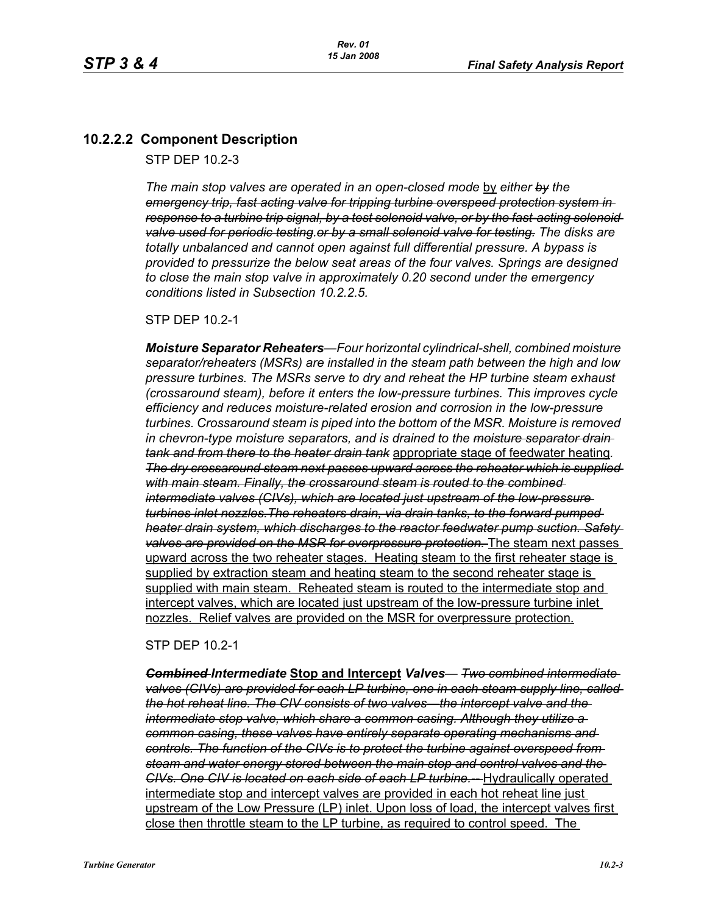# **10.2.2.2 Component Description**

STP DEP 10.2-3

*The main stop valves are operated in an open-closed mode by either by the emergency trip, fast acting valve for tripping turbine overspeed protection system in response to a turbine trip signal, by a test solenoid valve, or by the fast-acting solenoid valve used for periodic testing.or by a small solenoid valve for testing. The disks are totally unbalanced and cannot open against full differential pressure. A bypass is provided to pressurize the below seat areas of the four valves. Springs are designed to close the main stop valve in approximately 0.20 second under the emergency conditions listed in Subsection 10.2.2.5.*

### STP DEP 10.2-1

*Moisture Separator Reheaters—Four horizontal cylindrical-shell, combined moisture separator/reheaters (MSRs) are installed in the steam path between the high and low pressure turbines. The MSRs serve to dry and reheat the HP turbine steam exhaust (crossaround steam), before it enters the low-pressure turbines. This improves cycle efficiency and reduces moisture-related erosion and corrosion in the low-pressure turbines. Crossaround steam is piped into the bottom of the MSR. Moisture is removed in chevron-type moisture separators, and is drained to the moisture separator drain tank and from there to the heater drain tank* appropriate stage of feedwater heating*. The dry crossaround steam next passes upward across the reheater which is supplied with main steam. Finally, the crossaround steam is routed to the combined intermediate valves (CIVs), which are located just upstream of the low-pressure turbines inlet nozzles.The reheaters drain, via drain tanks, to the forward pumped heater drain system, which discharges to the reactor feedwater pump suction. Safety valves are provided on the MSR for overpressure protection.* The steam next passes upward across the two reheater stages. Heating steam to the first reheater stage is supplied by extraction steam and heating steam to the second reheater stage is supplied with main steam. Reheated steam is routed to the intermediate stop and intercept valves, which are located just upstream of the low-pressure turbine inlet nozzles. Relief valves are provided on the MSR for overpressure protection.

STP DEP 10.2-1

*Combined Intermediate* **Stop and Intercept** *Valves— Two combined intermediate valves (CIVs) are provided for each LP turbine, one in each steam supply line, called the hot reheat line. The CIV consists of two valves—the intercept valve and the intermediate stop valve, which share a common casing. Although they utilize a common casing, these valves have entirely separate operating mechanisms and controls. The function of the CIVs is to protect the turbine against overspeed from steam and water energy stored between the main stop and control valves and the CIVs. One CIV is located on each side of each LP turbine.--* Hydraulically operated intermediate stop and intercept valves are provided in each hot reheat line just upstream of the Low Pressure (LP) inlet. Upon loss of load, the intercept valves first close then throttle steam to the LP turbine, as required to control speed. The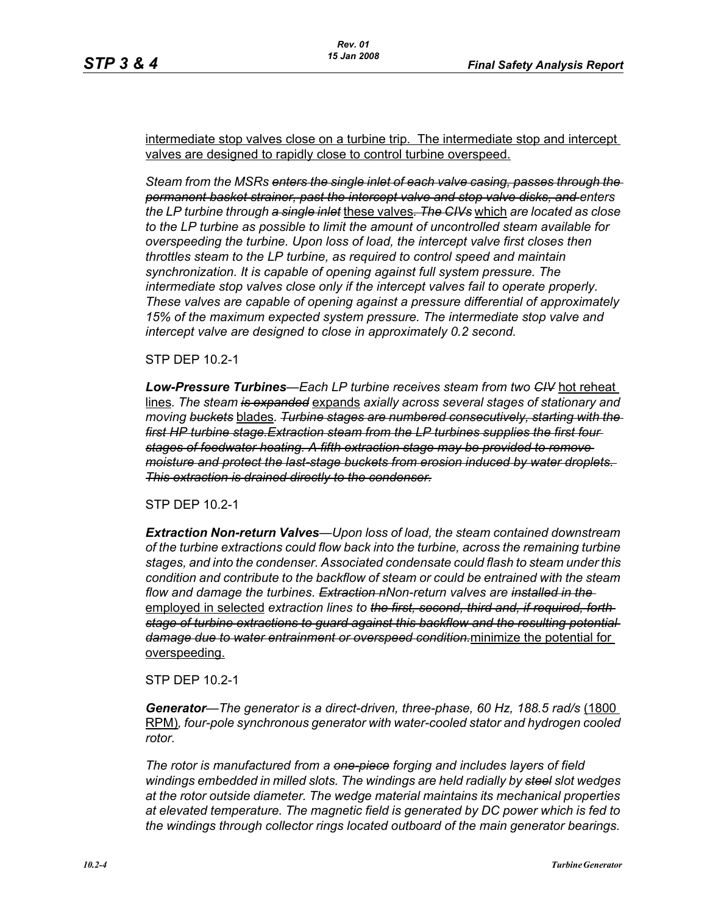intermediate stop valves close on a turbine trip. The intermediate stop and intercept valves are designed to rapidly close to control turbine overspeed.

*Steam from the MSRs enters the single inlet of each valve casing, passes through the permanent basket strainer, past the intercept valve and stop valve disks, and enters the LP turbine through a single inlet* these valves*. The CIVs* which *are located as close to the LP turbine as possible to limit the amount of uncontrolled steam available for overspeeding the turbine. Upon loss of load, the intercept valve first closes then throttles steam to the LP turbine, as required to control speed and maintain synchronization. It is capable of opening against full system pressure. The intermediate stop valves close only if the intercept valves fail to operate properly. These valves are capable of opening against a pressure differential of approximately 15% of the maximum expected system pressure. The intermediate stop valve and intercept valve are designed to close in approximately 0.2 second.* 

STP DEP 10.2-1

*Low-Pressure Turbines—Each LP turbine receives steam from two CIV* hot reheat lines*. The steam is expanded* expands *axially across several stages of stationary and moving buckets* blades*. Turbine stages are numbered consecutively, starting with the first HP turbine stage.Extraction steam from the LP turbines supplies the first four stages of feedwater heating. A fifth extraction stage may be provided to remove moisture and protect the last-stage buckets from erosion induced by water droplets. This extraction is drained directly to the condenser.*

STP DEP 10.2-1

*Extraction Non-return Valves—Upon loss of load, the steam contained downstream of the turbine extractions could flow back into the turbine, across the remaining turbine stages, and into the condenser. Associated condensate could flash to steam under this condition and contribute to the backflow of steam or could be entrained with the steam flow and damage the turbines. Extraction nNon-return valves are installed in the*  employed in selected *extraction lines to the first, second, third and, if required, forth stage of turbine extractions to guard against this backflow and the resulting potential damage due to water entrainment or overspeed condition.*minimize the potential for overspeeding.

STP DEP 10.2-1

*Generator—The generator is a direct-driven, three-phase, 60 Hz, 188.5 rad/s* (1800 RPM)*, four-pole synchronous generator with water-cooled stator and hydrogen cooled rotor.*

*The rotor is manufactured from a one-piece forging and includes layers of field windings embedded in milled slots. The windings are held radially by steel slot wedges at the rotor outside diameter. The wedge material maintains its mechanical properties at elevated temperature. The magnetic field is generated by DC power which is fed to the windings through collector rings located outboard of the main generator bearings.*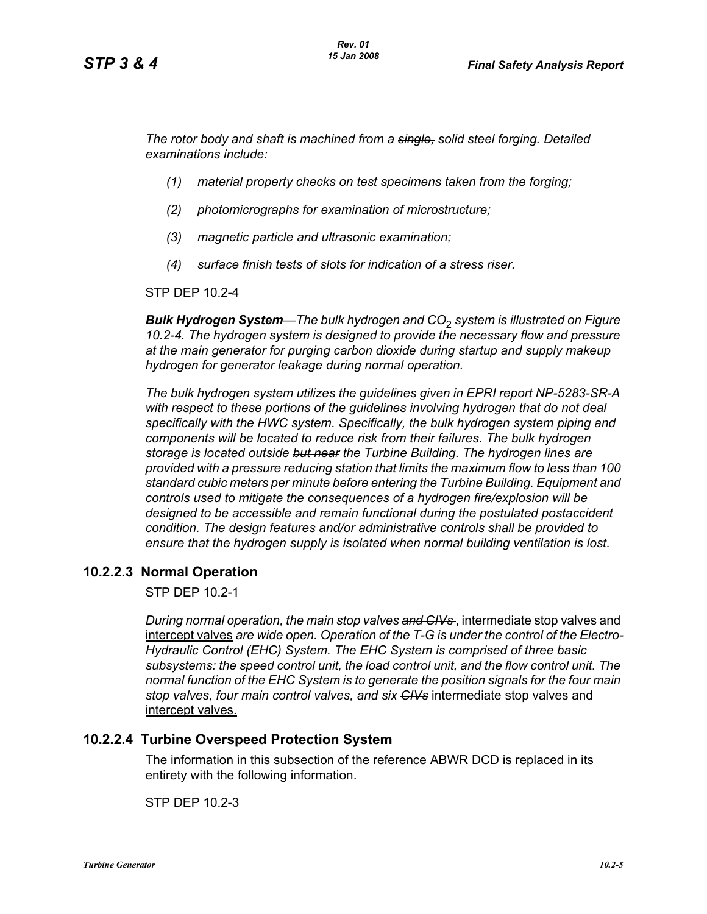*The rotor body and shaft is machined from a single, solid steel forging. Detailed examinations include:* 

- *(1) material property checks on test specimens taken from the forging;*
- *(2) photomicrographs for examination of microstructure;*
- *(3) magnetic particle and ultrasonic examination;*
- *(4) surface finish tests of slots for indication of a stress riser.*

STP DEP 10.2-4

*Bulk Hydrogen System—The bulk hydrogen and CO*2 *system is illustrated on Figure 10.2-4. The hydrogen system is designed to provide the necessary flow and pressure at the main generator for purging carbon dioxide during startup and supply makeup hydrogen for generator leakage during normal operation.*

*The bulk hydrogen system utilizes the guidelines given in EPRI report NP-5283-SR-A with respect to these portions of the guidelines involving hydrogen that do not deal specifically with the HWC system. Specifically, the bulk hydrogen system piping and components will be located to reduce risk from their failures. The bulk hydrogen storage is located outside but near the Turbine Building. The hydrogen lines are provided with a pressure reducing station that limits the maximum flow to less than 100 standard cubic meters per minute before entering the Turbine Building. Equipment and controls used to mitigate the consequences of a hydrogen fire/explosion will be designed to be accessible and remain functional during the postulated postaccident condition. The design features and/or administrative controls shall be provided to ensure that the hydrogen supply is isolated when normal building ventilation is lost.*

## **10.2.2.3 Normal Operation**

STP DEP 10.2-1

*During normal operation, the main stop valves and CIVs* , intermediate stop valves and intercept valves *are wide open. Operation of the T-G is under the control of the Electro-Hydraulic Control (EHC) System. The EHC System is comprised of three basic subsystems: the speed control unit, the load control unit, and the flow control unit. The normal function of the EHC System is to generate the position signals for the four main stop valves, four main control valves, and six CIVs* intermediate stop valves and intercept valves.

## **10.2.2.4 Turbine Overspeed Protection System**

The information in this subsection of the reference ABWR DCD is replaced in its entirety with the following information.

STP DEP 10.2-3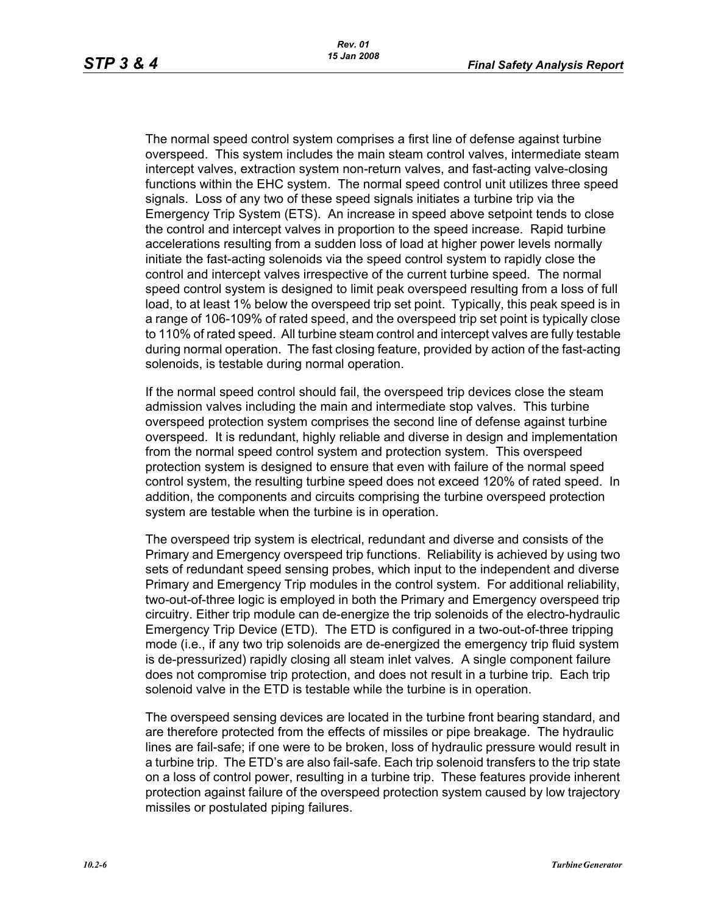The normal speed control system comprises a first line of defense against turbine overspeed. This system includes the main steam control valves, intermediate steam intercept valves, extraction system non-return valves, and fast-acting valve-closing functions within the EHC system. The normal speed control unit utilizes three speed signals. Loss of any two of these speed signals initiates a turbine trip via the Emergency Trip System (ETS). An increase in speed above setpoint tends to close the control and intercept valves in proportion to the speed increase. Rapid turbine accelerations resulting from a sudden loss of load at higher power levels normally initiate the fast-acting solenoids via the speed control system to rapidly close the control and intercept valves irrespective of the current turbine speed. The normal speed control system is designed to limit peak overspeed resulting from a loss of full load, to at least 1% below the overspeed trip set point. Typically, this peak speed is in a range of 106-109% of rated speed, and the overspeed trip set point is typically close to 110% of rated speed. All turbine steam control and intercept valves are fully testable during normal operation. The fast closing feature, provided by action of the fast-acting solenoids, is testable during normal operation.

If the normal speed control should fail, the overspeed trip devices close the steam admission valves including the main and intermediate stop valves. This turbine overspeed protection system comprises the second line of defense against turbine overspeed. It is redundant, highly reliable and diverse in design and implementation from the normal speed control system and protection system. This overspeed protection system is designed to ensure that even with failure of the normal speed control system, the resulting turbine speed does not exceed 120% of rated speed. In addition, the components and circuits comprising the turbine overspeed protection system are testable when the turbine is in operation.

The overspeed trip system is electrical, redundant and diverse and consists of the Primary and Emergency overspeed trip functions. Reliability is achieved by using two sets of redundant speed sensing probes, which input to the independent and diverse Primary and Emergency Trip modules in the control system. For additional reliability, two-out-of-three logic is employed in both the Primary and Emergency overspeed trip circuitry. Either trip module can de-energize the trip solenoids of the electro-hydraulic Emergency Trip Device (ETD). The ETD is configured in a two-out-of-three tripping mode (i.e., if any two trip solenoids are de-energized the emergency trip fluid system is de-pressurized) rapidly closing all steam inlet valves. A single component failure does not compromise trip protection, and does not result in a turbine trip. Each trip solenoid valve in the ETD is testable while the turbine is in operation.

The overspeed sensing devices are located in the turbine front bearing standard, and are therefore protected from the effects of missiles or pipe breakage. The hydraulic lines are fail-safe; if one were to be broken, loss of hydraulic pressure would result in a turbine trip. The ETD's are also fail-safe. Each trip solenoid transfers to the trip state on a loss of control power, resulting in a turbine trip. These features provide inherent protection against failure of the overspeed protection system caused by low trajectory missiles or postulated piping failures.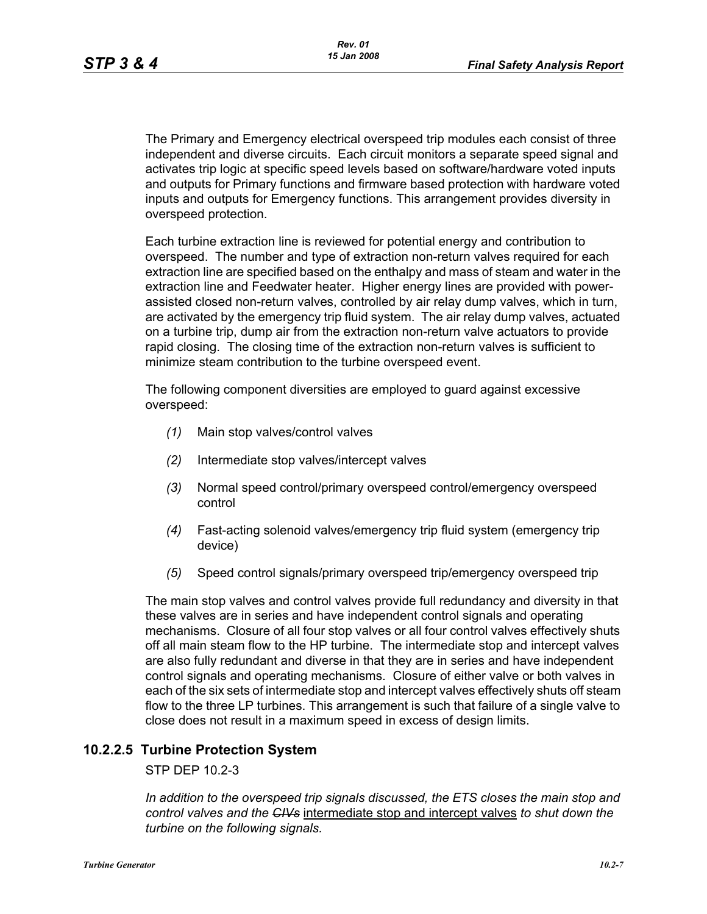The Primary and Emergency electrical overspeed trip modules each consist of three independent and diverse circuits. Each circuit monitors a separate speed signal and activates trip logic at specific speed levels based on software/hardware voted inputs and outputs for Primary functions and firmware based protection with hardware voted inputs and outputs for Emergency functions. This arrangement provides diversity in overspeed protection.

Each turbine extraction line is reviewed for potential energy and contribution to overspeed. The number and type of extraction non-return valves required for each extraction line are specified based on the enthalpy and mass of steam and water in the extraction line and Feedwater heater. Higher energy lines are provided with powerassisted closed non-return valves, controlled by air relay dump valves, which in turn, are activated by the emergency trip fluid system. The air relay dump valves, actuated on a turbine trip, dump air from the extraction non-return valve actuators to provide rapid closing. The closing time of the extraction non-return valves is sufficient to minimize steam contribution to the turbine overspeed event.

The following component diversities are employed to guard against excessive overspeed:

- *(1)* Main stop valves/control valves
- *(2)* Intermediate stop valves/intercept valves
- *(3)* Normal speed control/primary overspeed control/emergency overspeed control
- *(4)* Fast-acting solenoid valves/emergency trip fluid system (emergency trip device)
- *(5)* Speed control signals/primary overspeed trip/emergency overspeed trip

The main stop valves and control valves provide full redundancy and diversity in that these valves are in series and have independent control signals and operating mechanisms. Closure of all four stop valves or all four control valves effectively shuts off all main steam flow to the HP turbine. The intermediate stop and intercept valves are also fully redundant and diverse in that they are in series and have independent control signals and operating mechanisms. Closure of either valve or both valves in each of the six sets of intermediate stop and intercept valves effectively shuts off steam flow to the three LP turbines. This arrangement is such that failure of a single valve to close does not result in a maximum speed in excess of design limits.

## **10.2.2.5 Turbine Protection System**

STP DEP 10.2-3

*In addition to the overspeed trip signals discussed, the ETS closes the main stop and control valves and the CIVs* intermediate stop and intercept valves *to shut down the turbine on the following signals.*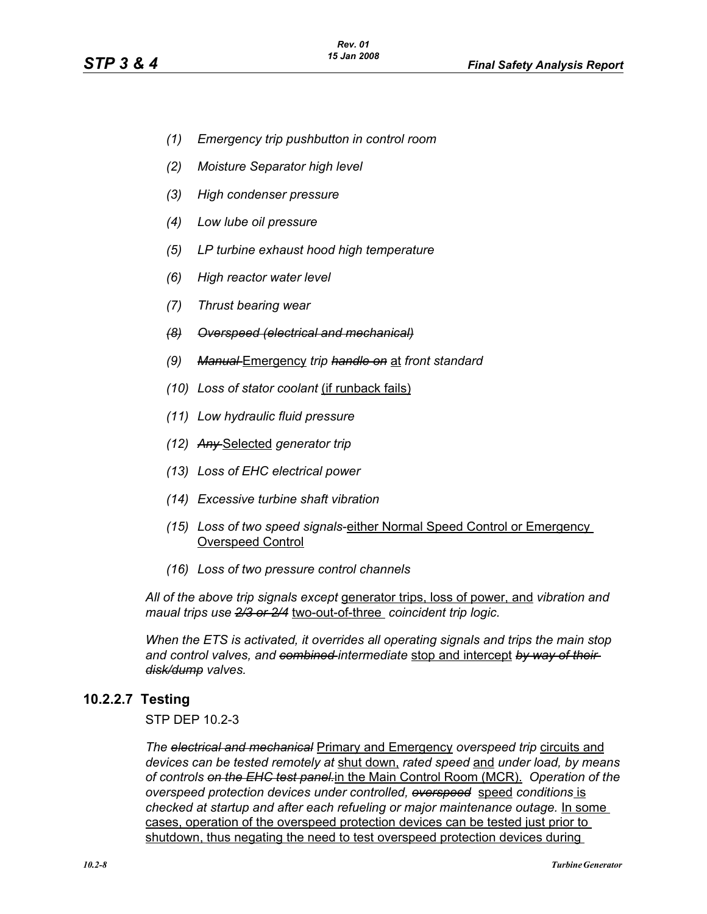- *(1) Emergency trip pushbutton in control room*
- *(2) Moisture Separator high level*
- *(3) High condenser pressure*
- *(4) Low lube oil pressure*
- *(5) LP turbine exhaust hood high temperature*
- *(6) High reactor water level*
- *(7) Thrust bearing wear*
- *(8) Overspeed (electrical and mechanical)*
- *(9) Manual* Emergency *trip handle on* at *front standard*
- *(10) Loss of stator coolant* (if runback fails)
- *(11) Low hydraulic fluid pressure*
- *(12) Any* Selected *generator trip*
- *(13) Loss of EHC electrical power*
- *(14) Excessive turbine shaft vibration*
- *(15) Loss of two speed signals*-either Normal Speed Control or Emergency Overspeed Control
- *(16) Loss of two pressure control channels*

*All of the above trip signals except* generator trips, loss of power, and *vibration and maual trips use 2/3 or 2/4* two-out-of-three *coincident trip logic.*

*When the ETS is activated, it overrides all operating signals and trips the main stop and control valves, and combined intermediate* stop and intercept *by way of their disk/dump valves.*

## **10.2.2.7 Testing**

STP DEP 10.2-3

*The electrical and mechanical* Primary and Emergency *overspeed trip* circuits and *devices can be tested remotely at* shut down, *rated speed* and *under load, by means of controls on the EHC test panel.*in the Main Control Room (MCR). *Operation of the overspeed protection devices under controlled, overspeed* speed *conditions* is *checked at startup and after each refueling or major maintenance outage.* In some cases, operation of the overspeed protection devices can be tested just prior to shutdown, thus negating the need to test overspeed protection devices during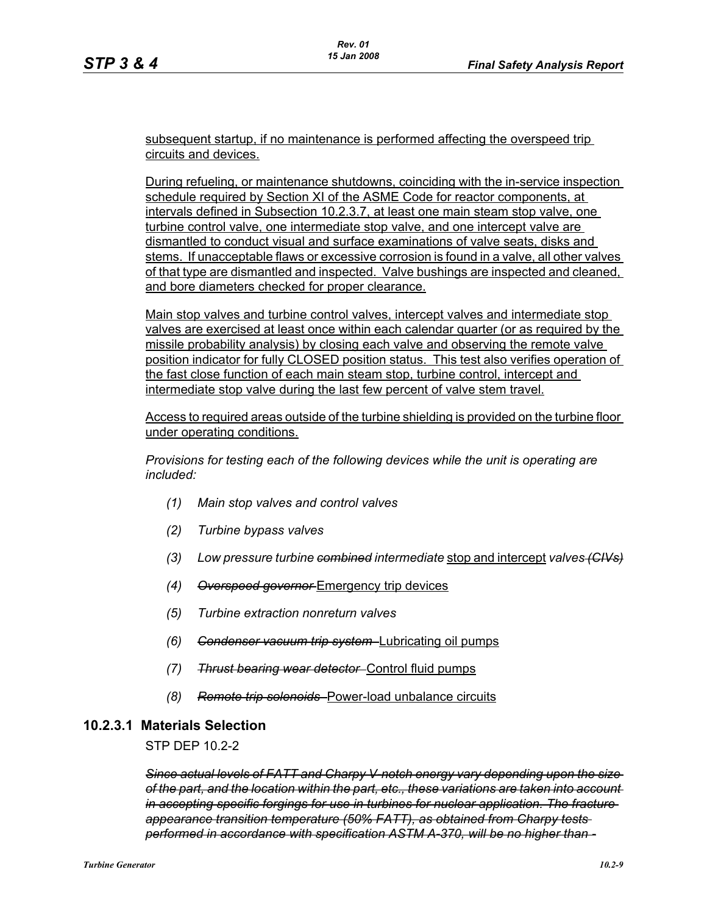subsequent startup, if no maintenance is performed affecting the overspeed trip circuits and devices.

During refueling, or maintenance shutdowns, coinciding with the in-service inspection schedule required by Section XI of the ASME Code for reactor components, at intervals defined in Subsection 10.2.3.7, at least one main steam stop valve, one turbine control valve, one intermediate stop valve, and one intercept valve are dismantled to conduct visual and surface examinations of valve seats, disks and stems. If unacceptable flaws or excessive corrosion is found in a valve, all other valves of that type are dismantled and inspected. Valve bushings are inspected and cleaned, and bore diameters checked for proper clearance.

Main stop valves and turbine control valves, intercept valves and intermediate stop valves are exercised at least once within each calendar quarter (or as required by the missile probability analysis) by closing each valve and observing the remote valve position indicator for fully CLOSED position status. This test also verifies operation of the fast close function of each main steam stop, turbine control, intercept and intermediate stop valve during the last few percent of valve stem travel.

Access to required areas outside of the turbine shielding is provided on the turbine floor under operating conditions.

*Provisions for testing each of the following devices while the unit is operating are included:*

- *(1) Main stop valves and control valves*
- *(2) Turbine bypass valves*
- *(3) Low pressure turbine combined intermediate* stop and intercept *valves (CIVs)*
- *(4) Overspeed governor* Emergency trip devices
- *(5) Turbine extraction nonreturn valves*
- *(6) Condenser vacuum trip system* Lubricating oil pumps
- *(7) Thrust bearing wear detector* Control fluid pumps
- *(8) Remote trip solenoids* Power-load unbalance circuits

## **10.2.3.1 Materials Selection**

STP DEP 10.2-2

*Since actual levels of FATT and Charpy V-notch energy vary depending upon the size of the part, and the location within the part, etc., these variations are taken into account in accepting specific forgings for use in turbines for nuclear application. The fracture appearance transition temperature (50% FATT), as obtained from Charpy tests performed in accordance with specification ASTM A-370, will be no higher than -*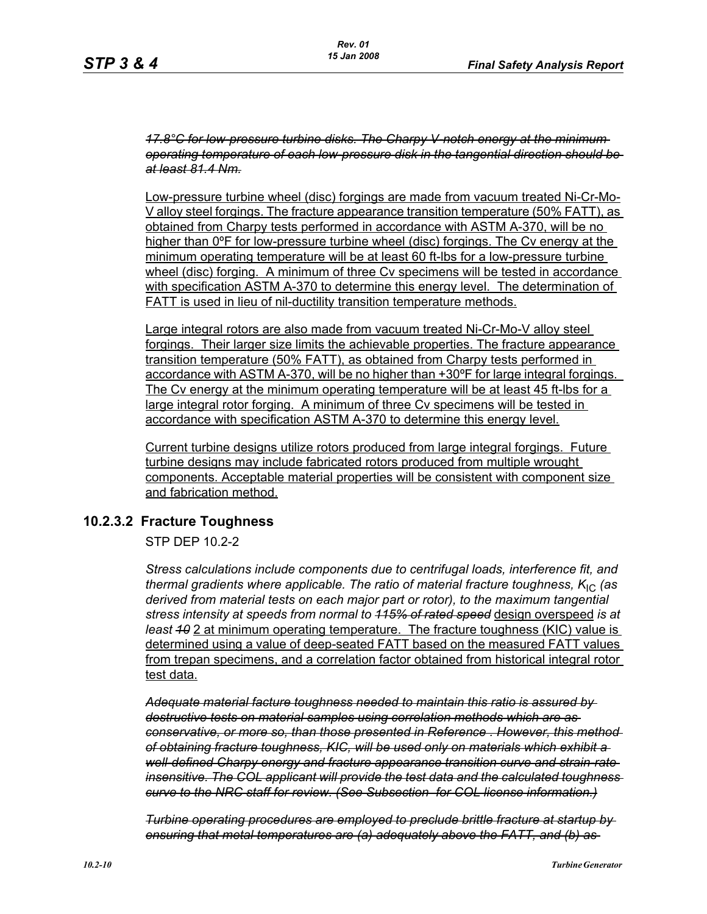*17.8°C for low-pressure turbine disks. The Charpy V-notch energy at the minimum operating temperature of each low-pressure disk in the tangential direction should be at least 81.4 Nm.*

Low-pressure turbine wheel (disc) forgings are made from vacuum treated Ni-Cr-Mo-V alloy steel forgings. The fracture appearance transition temperature (50% FATT), as obtained from Charpy tests performed in accordance with ASTM A-370, will be no higher than 0ºF for low-pressure turbine wheel (disc) forgings. The Cv energy at the minimum operating temperature will be at least 60 ft-lbs for a low-pressure turbine wheel (disc) forging. A minimum of three Cv specimens will be tested in accordance with specification ASTM A-370 to determine this energy level. The determination of FATT is used in lieu of nil-ductility transition temperature methods.

Large integral rotors are also made from vacuum treated Ni-Cr-Mo-V alloy steel forgings. Their larger size limits the achievable properties. The fracture appearance transition temperature (50% FATT), as obtained from Charpy tests performed in accordance with ASTM A-370, will be no higher than +30ºF for large integral forgings. The Cv energy at the minimum operating temperature will be at least 45 ft-lbs for a large integral rotor forging. A minimum of three Cv specimens will be tested in accordance with specification ASTM A-370 to determine this energy level.

Current turbine designs utilize rotors produced from large integral forgings. Future turbine designs may include fabricated rotors produced from multiple wrought components. Acceptable material properties will be consistent with component size and fabrication method.

## **10.2.3.2 Fracture Toughness**

STP DEP 10.2-2

*Stress calculations include components due to centrifugal loads, interference fit, and thermal gradients where applicable. The ratio of material fracture toughness, K<sub>IC</sub> (as derived from material tests on each major part or rotor), to the maximum tangential stress intensity at speeds from normal to 115% of rated speed* design overspeed *is at least 10* 2 at minimum operating temperature. The fracture toughness (KIC) value is determined using a value of deep-seated FATT based on the measured FATT values from trepan specimens, and a correlation factor obtained from historical integral rotor test data.

*Adequate material facture toughness needed to maintain this ratio is assured by destructive tests on material samples using correlation methods which are as conservative, or more so, than those presented in Reference . However, this method of obtaining fracture toughness, KIC, will be used only on materials which exhibit a well-defined Charpy energy and fracture appearance transition curve and strain-rate insensitive. The COL applicant will provide the test data and the calculated toughness curve to the NRC staff for review. (See Subsection for COL license information.)*

*Turbine operating procedures are employed to preclude brittle fracture at startup by ensuring that metal temperatures are (a) adequately above the FATT, and (b) as*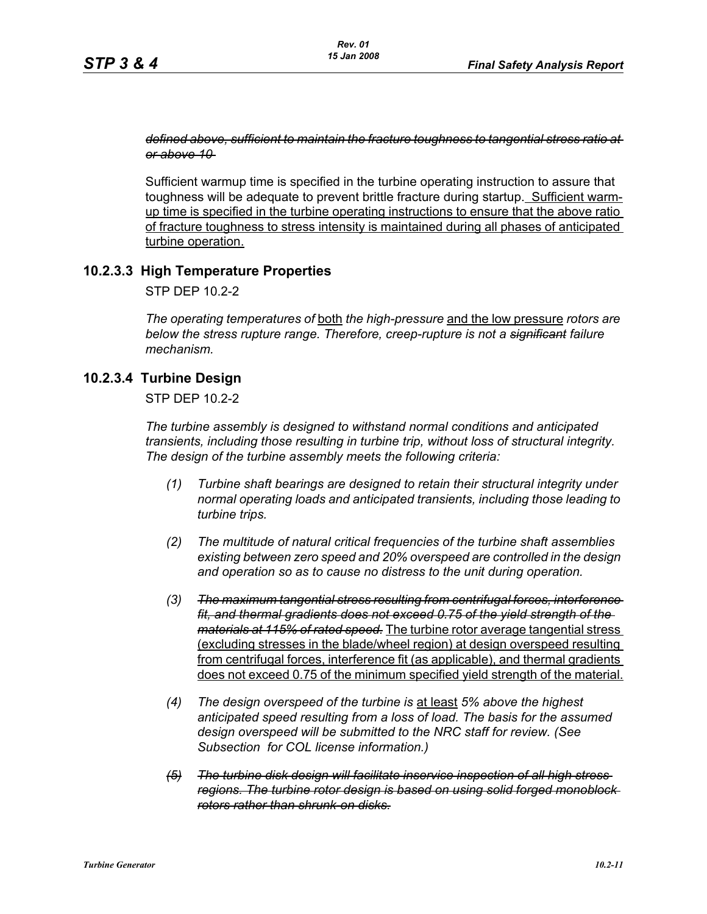#### *defined above, sufficient to maintain the fracture toughness to tangential stress ratio at or above 10*

Sufficient warmup time is specified in the turbine operating instruction to assure that toughness will be adequate to prevent brittle fracture during startup. Sufficient warmup time is specified in the turbine operating instructions to ensure that the above ratio of fracture toughness to stress intensity is maintained during all phases of anticipated turbine operation.

## **10.2.3.3 High Temperature Properties**

STP DEP 10.2-2

*The operating temperatures of* both *the high-pressure* and the low pressure *rotors are below the stress rupture range. Therefore, creep-rupture is not a significant failure mechanism.* 

## **10.2.3.4 Turbine Design**

STP DEP 10.2-2

*The turbine assembly is designed to withstand normal conditions and anticipated transients, including those resulting in turbine trip, without loss of structural integrity. The design of the turbine assembly meets the following criteria:* 

- *(1) Turbine shaft bearings are designed to retain their structural integrity under normal operating loads and anticipated transients, including those leading to turbine trips.*
- *(2) The multitude of natural critical frequencies of the turbine shaft assemblies existing between zero speed and 20% overspeed are controlled in the design and operation so as to cause no distress to the unit during operation.*
- *(3) The maximum tangential stress resulting from centrifugal forces, interference fit, and thermal gradients does not exceed 0.75 of the yield strength of the materials at 115% of rated speed.* The turbine rotor average tangential stress (excluding stresses in the blade/wheel region) at design overspeed resulting from centrifugal forces, interference fit (as applicable), and thermal gradients does not exceed 0.75 of the minimum specified yield strength of the material.
- *(4) The design overspeed of the turbine is* at least *5% above the highest anticipated speed resulting from a loss of load. The basis for the assumed design overspeed will be submitted to the NRC staff for review. (See Subsection for COL license information.)*
- *(5) The turbine disk design will facilitate inservice inspection of all high stress regions. The turbine rotor design is based on using solid forged monoblock rotors rather than shrunk-on disks.*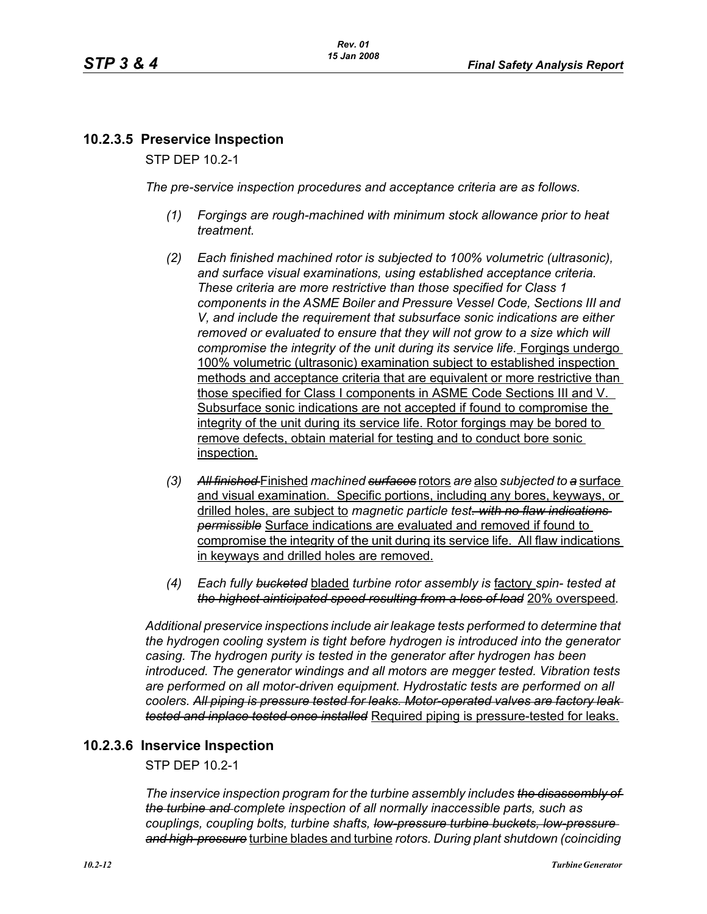# **10.2.3.5 Preservice Inspection**

STP DEP 10.2-1

*The pre-service inspection procedures and acceptance criteria are as follows.*

- *(1) Forgings are rough-machined with minimum stock allowance prior to heat treatment.*
- *(2) Each finished machined rotor is subjected to 100% volumetric (ultrasonic), and surface visual examinations, using established acceptance criteria. These criteria are more restrictive than those specified for Class 1 components in the ASME Boiler and Pressure Vessel Code, Sections III and V, and include the requirement that subsurface sonic indications are either removed or evaluated to ensure that they will not grow to a size which will compromise the integrity of the unit during its service life.* Forgings undergo 100% volumetric (ultrasonic) examination subject to established inspection methods and acceptance criteria that are equivalent or more restrictive than those specified for Class I components in ASME Code Sections III and V. Subsurface sonic indications are not accepted if found to compromise the integrity of the unit during its service life. Rotor forgings may be bored to remove defects, obtain material for testing and to conduct bore sonic inspection.
- *(3) All finished* Finished *machined surfaces* rotors *are* also *subjected to a* surface and visual examination. Specific portions, including any bores, keyways, or drilled holes, are subject to *magnetic particle test. with no flaw indications permissible* Surface indications are evaluated and removed if found to compromise the integrity of the unit during its service life. All flaw indications in keyways and drilled holes are removed.
- *(4) Each fully bucketed* bladed *turbine rotor assembly is* factory *spin- tested at the highest ainticipated speed resulting from a loss of load* 20% overspeed*.*

*Additional preservice inspections include air leakage tests performed to determine that the hydrogen cooling system is tight before hydrogen is introduced into the generator casing. The hydrogen purity is tested in the generator after hydrogen has been introduced. The generator windings and all motors are megger tested. Vibration tests*  are performed on all motor-driven equipment. Hydrostatic tests are performed on all *coolers. All piping is pressure tested for leaks. Motor-operated valves are factory leak tested and inplace tested once installed* Required piping is pressure-tested for leaks.

# **10.2.3.6 Inservice Inspection**

STP DEP 10.2-1

*The inservice inspection program for the turbine assembly includes the disassembly of the turbine and complete inspection of all normally inaccessible parts, such as couplings, coupling bolts, turbine shafts, low-pressure turbine buckets, low-pressure and high-pressure* turbine blades and turbine *rotors. During plant shutdown (coinciding*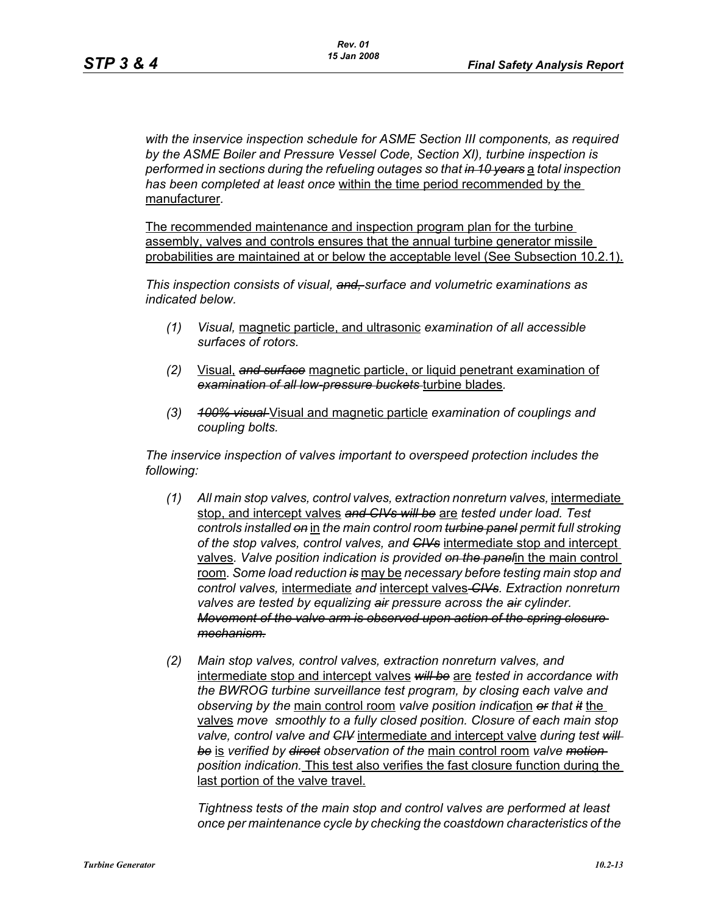*with the inservice inspection schedule for ASME Section III components, as required by the ASME Boiler and Pressure Vessel Code, Section XI), turbine inspection is performed in sections during the refueling outages so that in 10 years* a *total inspection has been completed at least once* within the time period recommended by the manufacturer*.* 

The recommended maintenance and inspection program plan for the turbine assembly, valves and controls ensures that the annual turbine generator missile probabilities are maintained at or below the acceptable level (See Subsection 10.2.1).

*This inspection consists of visual, and, surface and volumetric examinations as indicated below.*

- *(1) Visual,* magnetic particle, and ultrasonic *examination of all accessible surfaces of rotors.*
- *(2)* Visual, *and surface* magnetic particle, or liquid penetrant examination of *examination of all low-pressure buckets* turbine blades*.*
- *(3) 100% visual* Visual and magnetic particle *examination of couplings and coupling bolts.*

*The inservice inspection of valves important to overspeed protection includes the following:*

- *(1) All main stop valves, control valves, extraction nonreturn valves,* intermediate stop, and intercept valves *and CIVs will be* are *tested under load. Test controls installed on* in *the main control room turbine panel permit full stroking of the stop valves, control valves, and CIVs* intermediate stop and intercept valves*. Valve position indication is provided on the panel*in the main control room*. Some load reduction is* may be *necessary before testing main stop and control valves,* intermediate *and* intercept valves *CIVs. Extraction nonreturn valves are tested by equalizing air pressure across the air cylinder. Movement of the valve arm is observed upon action of the spring closure mechanism.*
- *(2) Main stop valves, control valves, extraction nonreturn valves, and*  intermediate stop and intercept valves *will be* are *tested in accordance with the BWROG turbine surveillance test program, by closing each valve and observing by the* main control room *valve position indicat*ion *or that it* the valves *move smoothly to a fully closed position. Closure of each main stop valve, control valve and CIV* intermediate and intercept valve *during test will be* is *verified by direct observation of the* main control room *valve motion position indication.* This test also verifies the fast closure function during the last portion of the valve travel.

*Tightness tests of the main stop and control valves are performed at least once per maintenance cycle by checking the coastdown characteristics of the*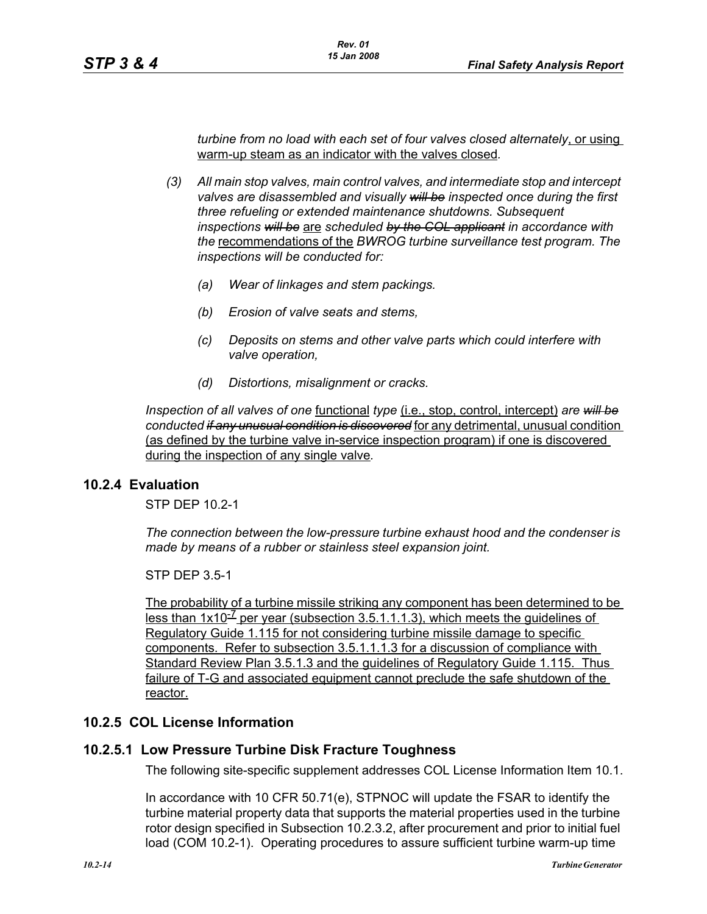*turbine from no load with each set of four valves closed alternately*, or using warm-up steam as an indicator with the valves closed*.* 

- *(3) All main stop valves, main control valves, and intermediate stop and intercept valves are disassembled and visually will be inspected once during the first three refueling or extended maintenance shutdowns. Subsequent inspections will be* are *scheduled by the COL applicant in accordance with the* recommendations of the *BWROG turbine surveillance test program. The inspections will be conducted for:* 
	- *(a) Wear of linkages and stem packings.*
	- *(b) Erosion of valve seats and stems,*
	- *(c) Deposits on stems and other valve parts which could interfere with valve operation,*
	- *(d) Distortions, misalignment or cracks.*

*Inspection of all valves of one* functional *type* (i.e., stop, control, intercept) *are will be conducted if any unusual condition is discovered* for any detrimental, unusual condition (as defined by the turbine valve in-service inspection program) if one is discovered during the inspection of any single valve*.*

## **10.2.4 Evaluation**

STP DEP 10.2-1

*The connection between the low-pressure turbine exhaust hood and the condenser is made by means of a rubber or stainless steel expansion joint.*

STP DEP 3.5-1

The probability of a turbine missile striking any component has been determined to be less than  $1x10^{-7}$  per year (subsection 3.5.1.1.1.3), which meets the quidelines of Regulatory Guide 1.115 for not considering turbine missile damage to specific components. Refer to subsection 3.5.1.1.1.3 for a discussion of compliance with Standard Review Plan 3.5.1.3 and the guidelines of Regulatory Guide 1.115. Thus failure of T-G and associated equipment cannot preclude the safe shutdown of the reactor.

## **10.2.5 COL License Information**

## **10.2.5.1 Low Pressure Turbine Disk Fracture Toughness**

The following site-specific supplement addresses COL License Information Item 10.1.

In accordance with 10 CFR 50.71(e), STPNOC will update the FSAR to identify the turbine material property data that supports the material properties used in the turbine rotor design specified in Subsection 10.2.3.2, after procurement and prior to initial fuel load (COM 10.2-1). Operating procedures to assure sufficient turbine warm-up time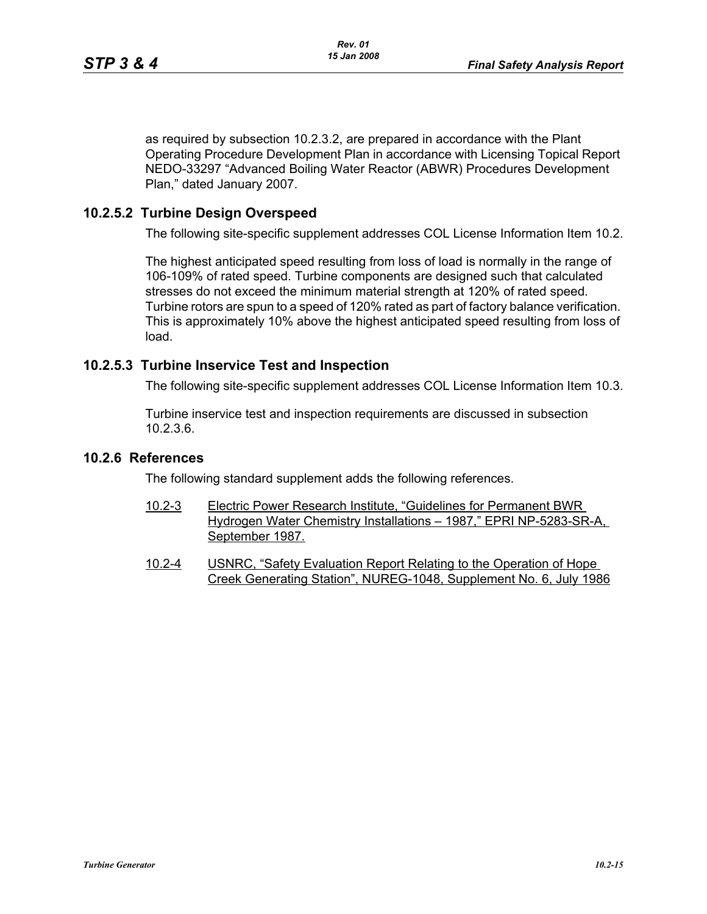as required by subsection 10.2.3.2, are prepared in accordance with the Plant Operating Procedure Development Plan in accordance with Licensing Topical Report NEDO-33297 "Advanced Boiling Water Reactor (ABWR) Procedures Development Plan," dated January 2007.

## **10.2.5.2 Turbine Design Overspeed**

The following site-specific supplement addresses COL License Information Item 10.2.

The highest anticipated speed resulting from loss of load is normally in the range of 106-109% of rated speed. Turbine components are designed such that calculated stresses do not exceed the minimum material strength at 120% of rated speed. Turbine rotors are spun to a speed of 120% rated as part of factory balance verification. This is approximately 10% above the highest anticipated speed resulting from loss of load.

## **10.2.5.3 Turbine Inservice Test and Inspection**

The following site-specific supplement addresses COL License Information Item 10.3.

Turbine inservice test and inspection requirements are discussed in subsection 10.2.3.6.

## **10.2.6 References**

The following standard supplement adds the following references.

- 10.2-3 Electric Power Research Institute, "Guidelines for Permanent BWR Hydrogen Water Chemistry Installations – 1987," EPRI NP-5283-SR-A, September 1987.
- 10.2-4 USNRC, "Safety Evaluation Report Relating to the Operation of Hope Creek Generating Station", NUREG-1048, Supplement No. 6, July 1986